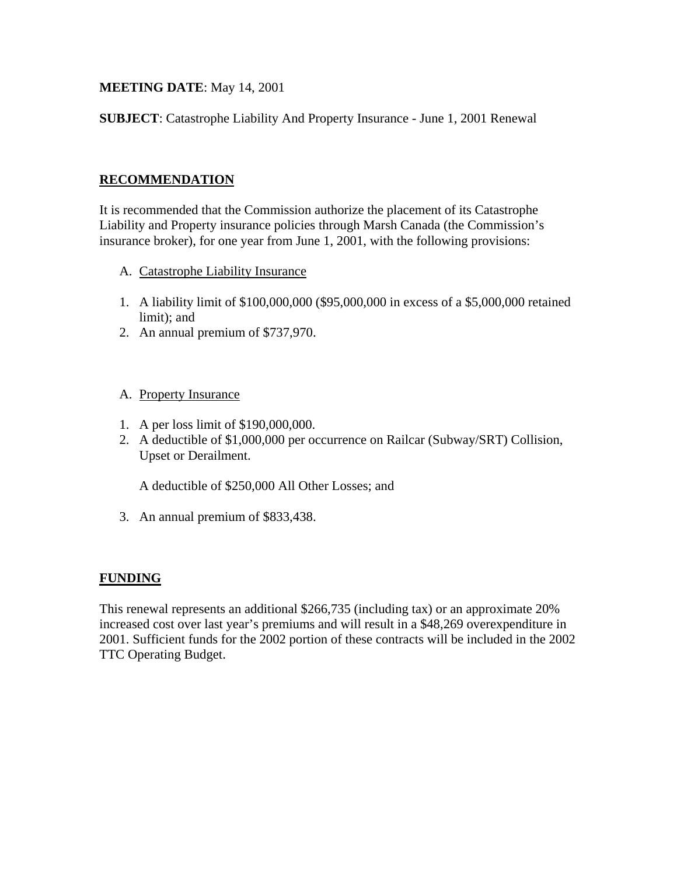### **MEETING DATE**: May 14, 2001

**SUBJECT**: Catastrophe Liability And Property Insurance - June 1, 2001 Renewal

### **RECOMMENDATION**

It is recommended that the Commission authorize the placement of its Catastrophe Liability and Property insurance policies through Marsh Canada (the Commission's insurance broker), for one year from June 1, 2001, with the following provisions:

- A. Catastrophe Liability Insurance
- 1. A liability limit of \$100,000,000 (\$95,000,000 in excess of a \$5,000,000 retained limit); and
- 2. An annual premium of \$737,970.

#### A. Property Insurance

- 1. A per loss limit of \$190,000,000.
- 2. A deductible of \$1,000,000 per occurrence on Railcar (Subway/SRT) Collision, Upset or Derailment.

A deductible of \$250,000 All Other Losses; and

3. An annual premium of \$833,438.

#### **FUNDING**

This renewal represents an additional \$266,735 (including tax) or an approximate 20% increased cost over last year's premiums and will result in a \$48,269 overexpenditure in 2001. Sufficient funds for the 2002 portion of these contracts will be included in the 2002 TTC Operating Budget.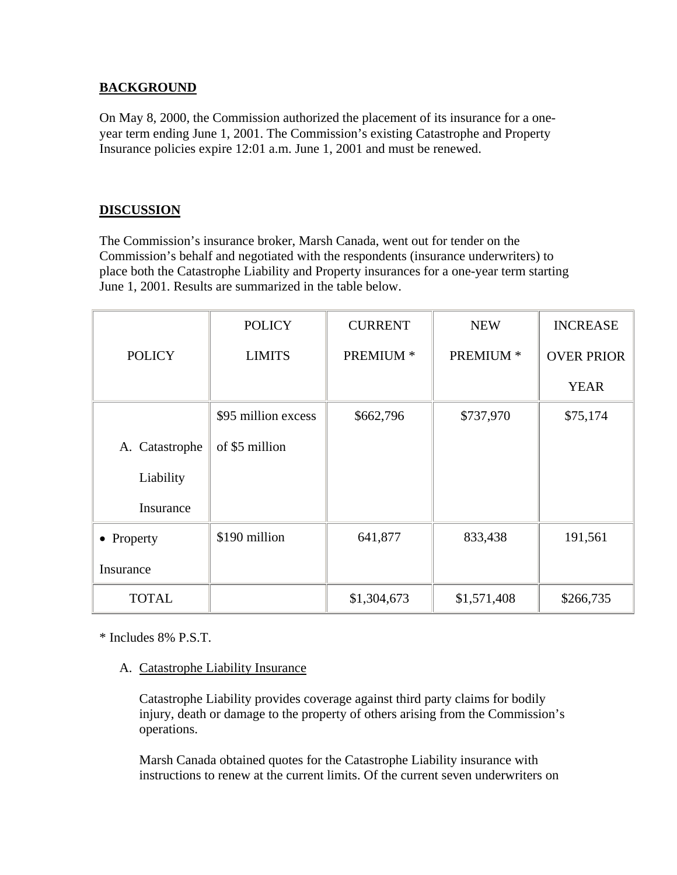## **BACKGROUND**

On May 8, 2000, the Commission authorized the placement of its insurance for a oneyear term ending June 1, 2001. The Commission's existing Catastrophe and Property Insurance policies expire 12:01 a.m. June 1, 2001 and must be renewed.

# **DISCUSSION**

The Commission's insurance broker, Marsh Canada, went out for tender on the Commission's behalf and negotiated with the respondents (insurance underwriters) to place both the Catastrophe Liability and Property insurances for a one-year term starting June 1, 2001. Results are summarized in the table below.

|                | <b>POLICY</b>       | <b>CURRENT</b> | <b>NEW</b>  | <b>INCREASE</b>   |
|----------------|---------------------|----------------|-------------|-------------------|
| <b>POLICY</b>  | <b>LIMITS</b>       | PREMIUM *      | PREMIUM *   | <b>OVER PRIOR</b> |
|                |                     |                |             | <b>YEAR</b>       |
|                | \$95 million excess | \$662,796      | \$737,970   | \$75,174          |
| A. Catastrophe | of \$5 million      |                |             |                   |
| Liability      |                     |                |             |                   |
| Insurance      |                     |                |             |                   |
| • Property     | \$190 million       | 641,877        | 833,438     | 191,561           |
| Insurance      |                     |                |             |                   |
| <b>TOTAL</b>   |                     | \$1,304,673    | \$1,571,408 | \$266,735         |

\* Includes 8% P.S.T.

## A. Catastrophe Liability Insurance

Catastrophe Liability provides coverage against third party claims for bodily injury, death or damage to the property of others arising from the Commission's operations.

Marsh Canada obtained quotes for the Catastrophe Liability insurance with instructions to renew at the current limits. Of the current seven underwriters on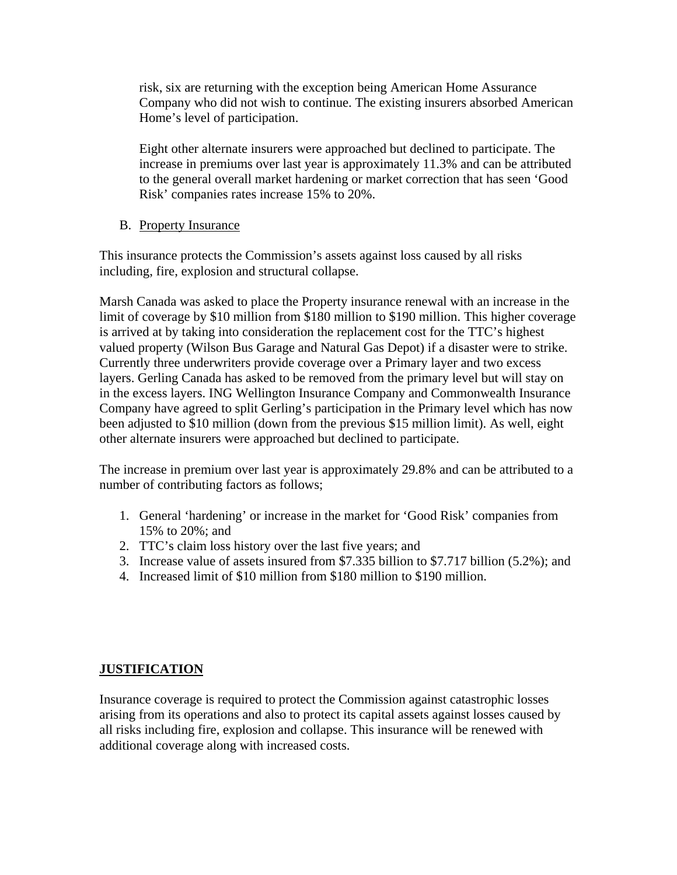risk, six are returning with the exception being American Home Assurance Company who did not wish to continue. The existing insurers absorbed American Home's level of participation.

Eight other alternate insurers were approached but declined to participate. The increase in premiums over last year is approximately 11.3% and can be attributed to the general overall market hardening or market correction that has seen 'Good Risk' companies rates increase 15% to 20%.

B. Property Insurance

This insurance protects the Commission's assets against loss caused by all risks including, fire, explosion and structural collapse.

Marsh Canada was asked to place the Property insurance renewal with an increase in the limit of coverage by \$10 million from \$180 million to \$190 million. This higher coverage is arrived at by taking into consideration the replacement cost for the TTC's highest valued property (Wilson Bus Garage and Natural Gas Depot) if a disaster were to strike. Currently three underwriters provide coverage over a Primary layer and two excess layers. Gerling Canada has asked to be removed from the primary level but will stay on in the excess layers. ING Wellington Insurance Company and Commonwealth Insurance Company have agreed to split Gerling's participation in the Primary level which has now been adjusted to \$10 million (down from the previous \$15 million limit). As well, eight other alternate insurers were approached but declined to participate.

The increase in premium over last year is approximately 29.8% and can be attributed to a number of contributing factors as follows;

- 1. General 'hardening' or increase in the market for 'Good Risk' companies from 15% to 20%; and
- 2. TTC's claim loss history over the last five years; and
- 3. Increase value of assets insured from \$7.335 billion to \$7.717 billion (5.2%); and
- 4. Increased limit of \$10 million from \$180 million to \$190 million.

## **JUSTIFICATION**

Insurance coverage is required to protect the Commission against catastrophic losses arising from its operations and also to protect its capital assets against losses caused by all risks including fire, explosion and collapse. This insurance will be renewed with additional coverage along with increased costs.